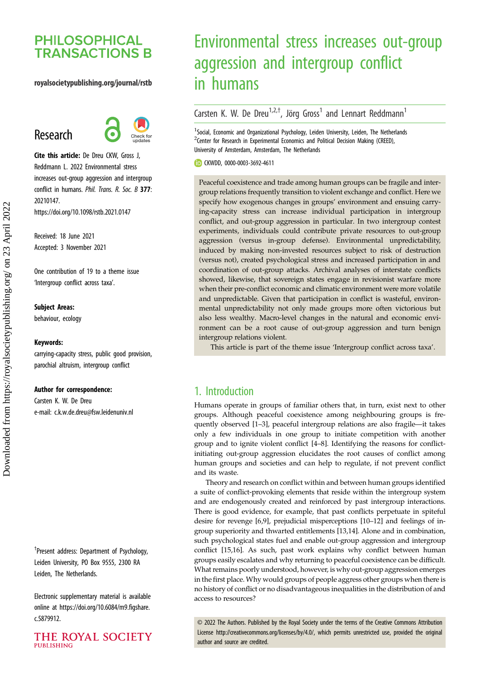# **PHILOSOPHICAL TRANSACTIONS B**

### royalsocietypublishing.org/journal/rstb

# Research



Cite this article: De Dreu CKW, Gross J, Reddmann L. 2022 Environmental stress increases out-group aggression and intergroup conflict in humans. Phil. Trans. R. Soc. B 377: 20210147. https://doi.org/10.1098/rstb.2021.0147

Received: 18 June 2021 Accepted: 3 November 2021

One contribution of 19 to a theme issue '[Intergroup conflict across taxa](http://dx.doi.org/10.1098/rstb/377/1851)'.

#### Subject Areas:

behaviour, ecology

#### Keywords:

carrying-capacity stress, public good provision, parochial altruism, intergroup conflict

#### Author for correspondence:

Carsten K. W. De Dreu e-mail: [c.k.w.de.dreu@fsw.leidenuniv.nl](mailto:c.k.w.de.dreu@fsw.leidenuniv.nl)

† Present address: Department of Psychology, Leiden University, PO Box 9555, 2300 RA Leiden, The Netherlands.

Electronic supplementary material is available online at [https://doi.org/10.6084/m9.figshare.](https://doi.org/10.6084/m9.figshare.c.5879912) [c.5879912.](https://doi.org/10.6084/m9.figshare.c.5879912)



# Environmental stress increases out-group aggression and intergroup conflict in humans

# Carsten K. W. De Dreu<sup>1,2,†</sup>, Jörg Gross<sup>1</sup> and Lennart Reddmann<sup>1</sup>

<sup>1</sup>Social, Economic and Organizational Psychology, Leiden University, Leiden, The Netherlands <sup>2</sup> Center for Research in Experimental Economics and Political Decision Making (CREED), University of Amsterdam, Amsterdam, The Netherlands

CKWDD, [0000-0003-3692-4611](http://orcid.org/0000-0003-3692-4611)

Peaceful coexistence and trade among human groups can be fragile and intergroup relations frequently transition to violent exchange and conflict. Here we specify how exogenous changes in groups' environment and ensuing carrying-capacity stress can increase individual participation in intergroup conflict, and out-group aggression in particular. In two intergroup contest experiments, individuals could contribute private resources to out-group aggression (versus in-group defense). Environmental unpredictability, induced by making non-invested resources subject to risk of destruction (versus not), created psychological stress and increased participation in and coordination of out-group attacks. Archival analyses of interstate conflicts showed, likewise, that sovereign states engage in revisionist warfare more when their pre-conflict economic and climatic environment were more volatile and unpredictable. Given that participation in conflict is wasteful, environmental unpredictability not only made groups more often victorious but also less wealthy. Macro-level changes in the natural and economic environment can be a root cause of out-group aggression and turn benign intergroup relations violent.

This article is part of the theme issue 'Intergroup conflict across taxa'.

# 1. Introduction

Humans operate in groups of familiar others that, in turn, exist next to other groups. Although peaceful coexistence among neighbouring groups is frequently observed [[1](#page-6-0)–[3](#page-6-0)], peaceful intergroup relations are also fragile—it takes only a few individuals in one group to initiate competition with another group and to ignite violent conflict [\[4](#page-7-0)–[8\]](#page-7-0). Identifying the reasons for conflictinitiating out-group aggression elucidates the root causes of conflict among human groups and societies and can help to regulate, if not prevent conflict and its waste.

Theory and research on conflict within and between human groups identified a suite of conflict-provoking elements that reside within the intergroup system and are endogenously created and reinforced by past intergroup interactions. There is good evidence, for example, that past conflicts perpetuate in spiteful desire for revenge [[6,9\]](#page-7-0), prejudicial misperceptions [[10](#page-7-0)–[12](#page-7-0)] and feelings of ingroup superiority and thwarted entitlements [[13,14\]](#page-7-0). Alone and in combination, such psychological states fuel and enable out-group aggression and intergroup conflict [[15,16\]](#page-7-0). As such, past work explains why conflict between human groups easily escalates and why returning to peaceful coexistence can be difficult. What remains poorly understood, however, is why out-group aggression emerges in the first place. Why would groups of people aggress other groups when there is no history of conflict or no disadvantageous inequalities in the distribution of and access to resources?

© 2022 The Authors. Published by the Royal Society under the terms of the Creative Commons Attribution License<http://creativecommons.org/licenses/by/4.0/>, which permits unrestricted use, provided the original author and source are credited.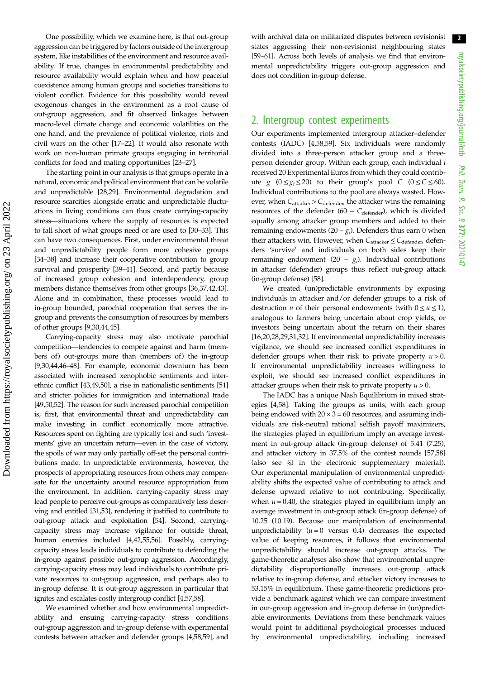One possibility, which we examine here, is that out-group aggression can be triggered by factors outside of the intergroup system, like instabilities of the environment and resource availability. If true, changes in environmental predictability and resource availability would explain when and how peaceful coexistence among human groups and societies transitions to violent conflict. Evidence for this possibility would reveal exogenous changes in the environment as a root cause of out-group aggression, and fit observed linkages between macro-level climate change and economic volatilities on the one hand, and the prevalence of political violence, riots and civil wars on the other [\[17](#page-7-0)–[22](#page-7-0)]. It would also resonate with work on non-human primate groups engaging in territorial conflicts for food and mating opportunities [[23](#page-7-0)–[27](#page-7-0)].

The starting point in our analysis is that groups operate in a natural, economic and political environment that can be volatile and unpredictable [[28,29\]](#page-7-0). Environmental degradation and resource scarcities alongside erratic and unpredictable fluctuations in living conditions can thus create carrying-capacity stress—situations where the supply of resources is expected to fall short of what groups need or are used to [[30](#page-7-0)–[33\]](#page-7-0). This can have two consequences. First, under environmental threat and unpredictability people form more cohesive groups [\[34](#page-7-0)-[38](#page-7-0)] and increase their cooperative contribution to group survival and prosperity [[39](#page-7-0)–[41\]](#page-7-0). Second, and partly because of increased group cohesion and interdependency, group members distance themselves from other groups [[36](#page-7-0),[37](#page-7-0),[42](#page-7-0),[43](#page-7-0)]. Alone and in combination, these processes would lead to in-group bounded, parochial cooperation that serves the ingroup and prevents the consumption of resources by members of other groups [[9,30,44,45](#page-7-0)].

Carrying-capacity stress may also motivate parochial competition—tendencies to compete against and harm (members of) out-groups more than (members of) the in-group [\[9,30,44](#page-7-0),[46](#page-7-0)–[48](#page-7-0)]. For example, economic downturn has been associated with increased xenophobic sentiments and interethnic conflict [[43,49](#page-7-0),[50](#page-7-0)], a rise in nationalistic sentiments [[51\]](#page-8-0) and stricter policies for immigration and international trade [\[49,50](#page-7-0)[,52\]](#page-8-0). The reason for such increased parochial competition is, first, that environmental threat and unpredictability can make investing in conflict economically more attractive. Resources spent on fighting are typically lost and such 'investments' give an uncertain return—even in the case of victory, the spoils of war may only partially off-set the personal contributions made. In unpredictable environments, however, the prospects of appropriating resources from others may compensate for the uncertainty around resource appropriation from the environment. In addition, carrying-capacity stress may lead people to perceive out-groups as comparatively less deserving and entitled [[31](#page-7-0),[53](#page-8-0)], rendering it justified to contribute to out-group attack and exploitation [\[54](#page-8-0)]. Second, carryingcapacity stress may increase vigilance for outside threat, human enemies included [\[4,42,](#page-7-0)[55,56](#page-8-0)]. Possibly, carryingcapacity stress leads individuals to contribute to defending the in-group against possible out-group aggression. Accordingly, carrying-capacity stress may lead individuals to contribute private resources to out-group aggression, and perhaps also to in-group defense. It is out-group aggression in particular that ignites and escalates costly intergroup conflict [\[4,](#page-7-0)[57](#page-8-0),[58](#page-8-0)].

We examined whether and how environmental unpredictability and ensuing carrying-capacity stress conditions out-group aggression and in-group defense with experimental contests between attacker and defender groups [\[4](#page-7-0)[,58,59](#page-8-0)], and with archival data on militarized disputes between revisionist states aggressing their non-revisionist neighbouring states [[59](#page-8-0)–[61\]](#page-8-0). Across both levels of analysis we find that environmental unpredictability triggers out-group aggression and does not condition in-group defense.

### 2. Intergroup contest experiments

Our experiments implemented intergroup attacker–defender contests (IADC) [[4](#page-7-0)[,58,59](#page-8-0)]. Six individuals were randomly divided into a three-person attacker group and a threeperson defender group. Within each group, each individual i received 20 Experimental Euros from which they could contribute  $g \ (0 \le g_i \le 20)$  to their group's pool  $C \ (0 \le C \le 60)$ . Individual contributions to the pool are always wasted. However, when  $C_{attacker} > C_{defender}$  the attacker wins the remaining resources of the defender (60 –  $C_{\text{defender}}$ ), which is divided equally among attacker group members and added to their remaining endowments  $(20 - g_i)$ . Defenders thus earn 0 when their attackers win. However, when  $C_{attacker} \leq C_{defender}$  defenders 'survive' and individuals on both sides keep their remaining endowment (20 –  $g_i$ ). Individual contributions in attacker (defender) groups thus reflect out-group attack (in-group defense) [\[58](#page-8-0)].

We created (un)predictable environments by exposing individuals in attacker and/or defender groups to a risk of destruction u of their personal endowments (with  $0 \le u \le 1$ ), analogous to farmers being uncertain about crop yields, or investors being uncertain about the return on their shares [[16,20,28,29,31,32](#page-7-0)]. If environmental unpredictability increases vigilance, we should see increased conflict expenditures in defender groups when their risk to private property  $u > 0$ . If environmental unpredictability increases willingness to exploit, we should see increased conflict expenditures in attacker groups when their risk to private property  $u > 0$ .

The IADC has a unique Nash Equilibrium in mixed strategies [[4](#page-7-0),[58](#page-8-0)]. Taking the groups as units, with each group being endowed with  $20 \times 3 = 60$  resources, and assuming individuals are risk-neutral rational selfish payoff maximizers, the strategies played in equilibrium imply an average investment in out-group attack (in-group defense) of 5.41 (7.25), and attacker victory in 37.5% of the contest rounds [[57,58\]](#page-8-0) (also see §I in the electronic supplementary material). Our experimental manipulation of environmental unpredictability shifts the expected value of contributing to attack and defense upward relative to not contributing. Specifically, when  $u = 0.40$ , the strategies played in equilibrium imply an average investment in out-group attack (in-group defense) of 10.25 (10.19). Because our manipulation of environmental unpredictability  $(u = 0$  versus 0.4) decreases the expected value of keeping resources, it follows that environmental unpredictability should increase out-group attacks. The game-theoretic analyses also show that environmental unpredictability disproportionally increases out-group attack relative to in-group defense, and attacker victory increases to 53.15% in equilibrium. These game-theoretic predictions provide a benchmark against which we can compare investment in out-group aggression and in-group defense in (un)predictable environments. Deviations from these benchmark values would point to additional psychological processes induced by environmental unpredictability, including increased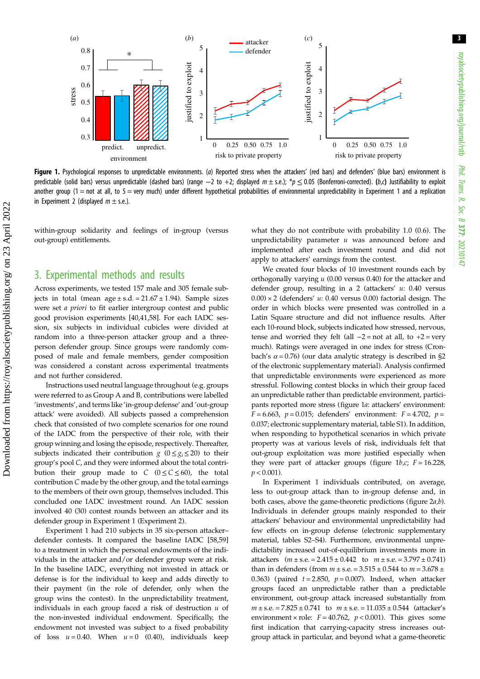3

<span id="page-2-0"></span>

Figure 1. Psychological responses to unpredictable environments. (a) Reported stress when the attackers' (red bars) and defenders' (blue bars) environment is predictable (solid bars) versus unpredictable (dashed bars) (range  $-2$  to +2; displayed  $m \pm s.e.$ ); \*p  $\leq 0.05$  (Bonferroni-corrected). (b,c) Justifiability to exploit another group (1 = not at all, to 5 = very much) under different hypothetical probabilities of environmental unpredictability in Experiment 1 and a replication in Experiment 2 (displayed  $m \pm$  s.e.).

within-group solidarity and feelings of in-group (versus out-group) entitlements.

### 3. Experimental methods and results

Across experiments, we tested 157 male and 305 female subjects in total (mean age  $\pm$  s.d. = 21.67  $\pm$  1.94). Sample sizes were set a priori to fit earlier intergroup contest and public good provision experiments [[40,41](#page-7-0)[,58](#page-8-0)]. For each IADC session, six subjects in individual cubicles were divided at random into a three-person attacker group and a threeperson defender group. Since groups were randomly composed of male and female members, gender composition was considered a constant across experimental treatments and not further considered.

Instructions used neutral language throughout (e.g. groups were referred to as Group A and B, contributions were labelled 'investments', and terms like 'in-group defense' and 'out-group attack' were avoided). All subjects passed a comprehension check that consisted of two complete scenarios for one round of the IADC from the perspective of their role, with their group winning and losing the episode, respectively. Thereafter, subjects indicated their contribution  $g(0 \le g_i \le 20)$  to their group's pool C, and they were informed about the total contribution their group made to  $C$  ( $0 \le C \le 60$ ), the total contribution C made by the other group, and the total earnings to the members of their own group, themselves included. This concluded one IADC investment round. An IADC session involved 40 (30) contest rounds between an attacker and its defender group in Experiment 1 (Experiment 2).

Experiment 1 had 210 subjects in 35 six-person attacker– defender contests. It compared the baseline IADC [\[58](#page-8-0),[59\]](#page-8-0) to a treatment in which the personal endowments of the individuals in the attacker and/or defender group were at risk. In the baseline IADC, everything not invested in attack or defense is for the individual to keep and adds directly to their payment (in the role of defender, only when the group wins the contest). In the unpredictability treatment, individuals in each group faced a risk of destruction  $u$  of the non-invested individual endowment. Specifically, the endowment not invested was subject to a fixed probability of loss  $u = 0.40$ . When  $u = 0$  (0.40), individuals keep what they do not contribute with probability 1.0 (0.6). The unpredictability parameter  $u$  was announced before and implemented after each investment round and did not apply to attackers' earnings from the contest.

We created four blocks of 10 investment rounds each by orthogonally varying u (0.00 versus 0.40) for the attacker and defender group, resulting in a 2 (attackers'  $u$ : 0.40 versus  $(0.00) \times 2$  (defenders' u: 0.40 versus 0.00) factorial design. The order in which blocks were presented was controlled in a Latin Square structure and did not influence results. After each 10-round block, subjects indicated how stressed, nervous, tense and worried they felt (all  $-2$  = not at all, to  $+2$  = very much). Ratings were averaged in one index for stress (Cronbach's  $\alpha$  = 0.76) (our data analytic strategy is described in §2 of the electronic supplementary material). Analysis confirmed that unpredictable environments were experienced as more stressful. Following contest blocks in which their group faced an unpredictable rather than predictable environment, participants reported more stress (figure 1a: attackers' environment:  $F = 6.663$ ,  $p = 0.015$ ; defenders' environment:  $F = 4.702$ ,  $p =$ 0.037; electronic supplementary material, table S1). In addition, when responding to hypothetical scenarios in which private property was at various levels of risk, individuals felt that out-group exploitation was more justified especially when they were part of attacker groups (figure  $1b$ , $c$ ;  $F = 16.228$ ,  $p < 0.001$ ).

In Experiment 1 individuals contributed, on average, less to out-group attack than to in-group defense and, in both cases, above the game-theoretic predictions (figure  $2a,b$ ). Individuals in defender groups mainly responded to their attackers' behaviour and environmental unpredictability had few effects on in-group defense (electronic supplementary material, tables S2–S4). Furthermore, environmental unpredictability increased out-of-equilibrium investments more in attackers  $(m \pm s.e. = 2.415 \pm 0.442)$  to  $m \pm s.e. = 3.797 \pm 0.741)$ than in defenders (from  $m \pm s.e. = 3.515 \pm 0.544$  to  $m = 3.678 \pm 0.544$ 0.363) (paired  $t = 2.850$ ,  $p = 0.007$ ). Indeed, when attacker groups faced an unpredictable rather than a predictable environment, out-group attack increased substantially from  $m \pm s.e. = 7.825 \pm 0.741$  to  $m \pm s.e. = 11.035 \pm 0.544$  (attacker's environment × role:  $F = 40.762$ ,  $p < 0.001$ ). This gives some first indication that carrying-capacity stress increases outgroup attack in particular, and beyond what a game-theoretic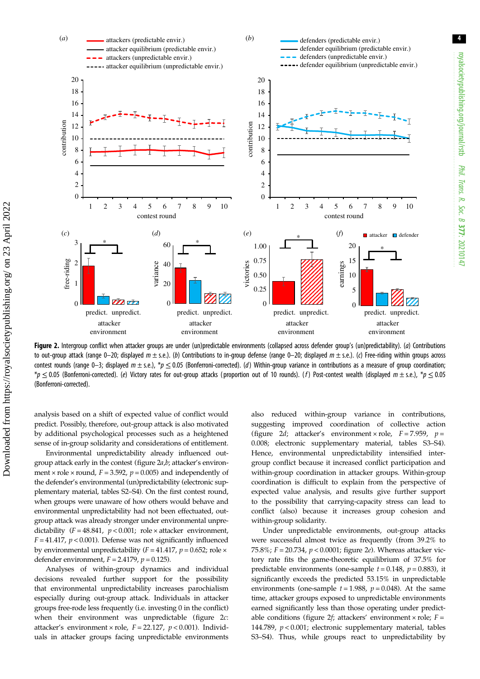<span id="page-3-0"></span>

Figure 2. Intergroup conflict when attacker groups are under (un)predictable environments (collapsed across defender group's (un)predictability). (a) Contributions to out-group attack (range 0–20; displayed  $m \pm s.e.$ ). (b) Contributions to in-group defense (range 0–20; displayed  $m \pm s.e.$ ). (c) Free-riding within groups across contest rounds (range 0-3; displayed  $m \pm$  s.e.),  $*\rho \leq 0.05$  (Bonferroni-corrected). (d) Within-group variance in contributions as a measure of group coordination;  $*p \leq 0.05$  (Bonferroni-corrected). (e) Victory rates for out-group attacks (proportion out of 10 rounds). (f) Post-contest wealth (displayed  $m \pm$  s.e.),  $*p \leq 0.05$ (Bonferroni-corrected).

analysis based on a shift of expected value of conflict would predict. Possibly, therefore, out-group attack is also motivated by additional psychological processes such as a heightened sense of in-group solidarity and considerations of entitlement.

Environmental unpredictability already influenced outgroup attack early in the contest (figure 2a,b; attacker's environment  $\times$  role  $\times$  round,  $F = 3.592$ ,  $p = 0.005$ ) and independently of the defender's environmental (un)predictability (electronic supplementary material, tables S2–S4). On the first contest round, when groups were unaware of how others would behave and environmental unpredictability had not been effectuated, outgroup attack was already stronger under environmental unpredictability ( $F = 48.841$ ,  $p < 0.001$ ; role × attacker environment,  $F = 41.417$ ,  $p < 0.001$ ). Defense was not significantly influenced by environmental unpredictability ( $F = 41.417$ ,  $p = 0.652$ ; role  $\times$ defender environment,  $F = 2.4179$ ,  $p = 0.125$ ).

Analyses of within-group dynamics and individual decisions revealed further support for the possibility that environmental unpredictability increases parochialism especially during out-group attack. Individuals in attacker groups free-rode less frequently (i.e. investing 0 in the conflict) when their environment was unpredictable (figure 2c: attacker's environment × role,  $F = 22.127$ ,  $p < 0.001$ ). Individuals in attacker groups facing unpredictable environments also reduced within-group variance in contributions, suggesting improved coordination of collective action (figure 2*d*; attacker's environment × role,  $F = 7.959$ ,  $p =$ 0.008; electronic supplementary material, tables S3–S4). Hence, environmental unpredictability intensified intergroup conflict because it increased conflict participation and within-group coordination in attacker groups. Within-group coordination is difficult to explain from the perspective of expected value analysis, and results give further support to the possibility that carrying-capacity stress can lead to conflict (also) because it increases group cohesion and within-group solidarity.

Under unpredictable environments, out-group attacks were successful almost twice as frequently (from 39.2% to 75.8%;  $F = 20.734$ ,  $p < 0.0001$ ; figure 2e). Whereas attacker victory rate fits the game-theoretic equilibrium of 37.5% for predictable environments (one-sample  $t = 0.148$ ,  $p = 0.883$ ), it significantly exceeds the predicted 53.15% in unpredictable environments (one-sample  $t = 1.988$ ,  $p = 0.048$ ). At the same time, attacker groups exposed to unpredictable environments earned significantly less than those operating under predictable conditions (figure  $2f$ ; attackers' environment × role;  $F =$ 144.789,  $p < 0.001$ ; electronic supplementary material, tables S3–S4). Thus, while groups react to unpredictability by

royalsocietypublishing.org/journal/rstb

q1s1/leuno(/b10riplishing.org/journal/rstb

Phil. Trans.

 R. Soc. $\sigma$ 

377: 20210147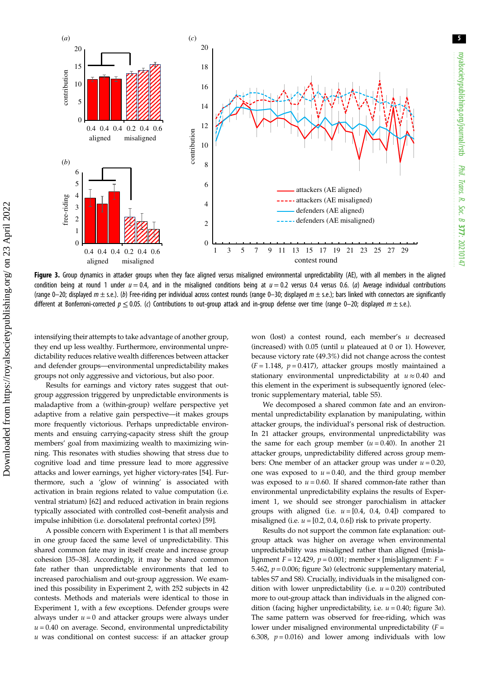<span id="page-4-0"></span>

Figure 3. Group dynamics in attacker groups when they face aligned versus misaligned environmental unpredictability (AE), with all members in the aligned condition being at round 1 under  $u = 0.4$ , and in the misaligned conditions being at  $u = 0.2$  versus 0.4 versus 0.6. (a) Average individual contributions (range 0-20; displayed  $m \pm s.e.$ ). (b) Free-riding per individual across contest rounds (range 0-30; displayed  $m \pm s.e.$ ); bars linked with connectors are significantly different at Bonferroni-corrected  $p \le 0.05$ . (c) Contributions to out-group attack and in-group defense over time (range 0–20; displayed  $m \pm s.e.$ ).

intensifying their attempts to take advantage of another group, they end up less wealthy. Furthermore, environmental unpredictability reduces relative wealth differences between attacker and defender groups—environmental unpredictability makes groups not only aggressive and victorious, but also poor.

Results for earnings and victory rates suggest that outgroup aggression triggered by unpredictable environments is maladaptive from a (within-group) welfare perspective yet adaptive from a relative gain perspective—it makes groups more frequently victorious. Perhaps unpredictable environments and ensuing carrying-capacity stress shift the group members' goal from maximizing wealth to maximizing winning. This resonates with studies showing that stress due to cognitive load and time pressure lead to more aggressive attacks and lower earnings, yet higher victory-rates [\[54](#page-8-0)]. Furthermore, such a 'glow of winning' is associated with activation in brain regions related to value computation (i.e. ventral striatum) [[62\]](#page-8-0) and reduced activation in brain regions typically associated with controlled cost–benefit analysis and impulse inhibition (i.e. dorsolateral prefrontal cortex) [[59](#page-8-0)].

A possible concern with Experiment 1 is that all members in one group faced the same level of unpredictability. This shared common fate may in itself create and increase group cohesion [[35](#page-7-0)–[38](#page-7-0)]. Accordingly, it may be shared common fate rather than unpredictable environments that led to increased parochialism and out-group aggression. We examined this possibility in Experiment 2, with 252 subjects in 42 contests. Methods and materials were identical to those in Experiment 1, with a few exceptions. Defender groups were always under  $u = 0$  and attacker groups were always under  $u = 0.40$  on average. Second, environmental unpredictability  $u$  was conditional on contest success: if an attacker group won (lost) a contest round, each member's u decreased (increased) with  $0.05$  (until  $u$  plateaued at  $0$  or 1). However, because victory rate (49.3%) did not change across the contest  $(F = 1.148, p = 0.417)$ , attacker groups mostly maintained a stationary environmental unpredictability at  $u \approx 0.40$  and this element in the experiment is subsequently ignored (electronic supplementary material, table S5).

We decomposed a shared common fate and an environmental unpredictability explanation by manipulating, within attacker groups, the individual's personal risk of destruction. In 21 attacker groups, environmental unpredictability was the same for each group member  $(u = 0.40)$ . In another 21 attacker groups, unpredictability differed across group members: One member of an attacker group was under  $u = 0.20$ , one was exposed to  $u = 0.40$ , and the third group member was exposed to  $u = 0.60$ . If shared common-fate rather than environmental unpredictability explains the results of Experiment 1, we should see stronger parochialism in attacker groups with aligned (i.e.  $u = [0.4, 0.4, 0.4]$ ) compared to misaligned (i.e.  $u = [0.2, 0.4, 0.6]$ ) risk to private property.

Results do not support the common fate explanation: outgroup attack was higher on average when environmental unpredictability was misaligned rather than aligned ([mis]alignment  $F = 12.429$ ,  $p = 0.001$ ; member × [mis]alignment:  $F =$ 5.462,  $p = 0.006$ ; figure 3a) (electronic supplementary material, tables S7 and S8). Crucially, individuals in the misaligned condition with lower unpredictability (i.e.  $u = 0.20$ ) contributed more to out-group attack than individuals in the aligned condition (facing higher unpredictability, i.e.  $u = 0.40$ ; figure 3a). The same pattern was observed for free-riding, which was lower under misaligned environmental unpredictability  $(F =$ 6.308,  $p = 0.016$ ) and lower among individuals with low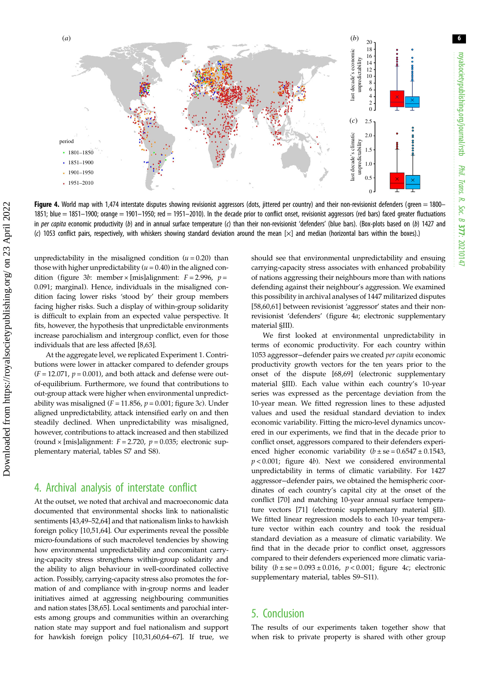6

<span id="page-5-0"></span>

Figure 4. World map with 1,474 interstate disputes showing revisionist aggressors (dots, jittered per country) and their non-revisionist defenders (green = 1800– 1851; blue  $= 1851-1900$ ; orange  $= 1901-1950$ ; red  $= 1951-2010$ ). In the decade prior to conflict onset, revisionist aggressors (red bars) faced greater fluctuations in per capita economic productivity (b) and in annual surface temperature (c) than their non-revisionist 'defenders' (blue bars). (Box-plots based on (b) 1427 and (c) 1053 conflict pairs, respectively, with whiskers showing standard deviation around the mean  $[\times]$  and median (horizontal bars within the boxes).)

unpredictability in the misaligned condition  $(u = 0.20)$  than those with higher unpredictability ( $u = 0.40$ ) in the aligned con-dition [\(figure 3](#page-4-0)b: member × [mis]alignment:  $F = 2.996$ ,  $p =$ 0.091; marginal). Hence, individuals in the misaligned condition facing lower risks 'stood by' their group members facing higher risks. Such a display of within-group solidarity is difficult to explain from an expected value perspective. It fits, however, the hypothesis that unpredictable environments increase parochialism and intergroup conflict, even for those individuals that are less affected [\[8](#page-7-0)[,63](#page-8-0)].

At the aggregate level, we replicated Experiment 1. Contributions were lower in attacker compared to defender groups  $(F = 12.071, p = 0.001)$ , and both attack and defense were outof-equilibrium. Furthermore, we found that contributions to out-group attack were higher when environmental unpredictability was misaligned ( $F = 11.856$ ,  $p = 0.001$ ; [figure 3](#page-4-0)c). Under aligned unpredictability, attack intensified early on and then steadily declined. When unpredictability was misaligned, however, contributions to attack increased and then stabilized (round  $\times$  [mis]alignment:  $F = 2.720$ ,  $p = 0.035$ ; electronic supplementary material, tables S7 and S8).

### 4. Archival analysis of interstate conflict

At the outset, we noted that archival and macroeconomic data documented that environmental shocks link to nationalistic sentiments [\[43,49](#page-7-0)–[52,64\]](#page-8-0) and that nationalism links to hawkish foreign policy [[10,](#page-7-0)[51,64\]](#page-8-0). Our experiments reveal the possible micro-foundations of such macrolevel tendencies by showing how environmental unpredictability and concomitant carrying-capacity stress strengthens within-group solidarity and the ability to align behaviour in well-coordinated collective action. Possibly, carrying-capacity stress also promotes the formation of and compliance with in-group norms and leader initiatives aimed at aggressing neighbouring communities and nation states [[38,](#page-7-0)[65\]](#page-8-0). Local sentiments and parochial interests among groups and communities within an overarching nation state may support and fuel nationalism and support for hawkish foreign policy [[10,31,](#page-7-0)[60,64](#page-8-0)–[67](#page-8-0)]. If true, we should see that environmental unpredictability and ensuing carrying-capacity stress associates with enhanced probability of nations aggressing their neighbours more than with nations defending against their neighbour's aggression. We examined this possibility in archival analyses of 1447 militarized disputes [[58,60,61\]](#page-8-0) between revisionist 'aggressor' states and their nonrevisionist 'defenders' (figure 4a; electronic supplementary material §III).

We first looked at environmental unpredictability in terms of economic productivity. For each country within 1053 aggressor−defender pairs we created per capita economic productivity growth vectors for the ten years prior to the onset of the dispute [[68,69](#page-8-0)] (electronic supplementary material §III). Each value within each country's 10-year series was expressed as the percentage deviation from the 10-year mean. We fitted regression lines to these adjusted values and used the residual standard deviation to index economic variability. Fitting the micro-level dynamics uncovered in our experiments, we find that in the decade prior to conflict onset, aggressors compared to their defenders experienced higher economic variability  $(b \pm s \epsilon = 0.6547 \pm 0.1543)$ ,  $p < 0.001$ ; figure 4b). Next we considered environmental unpredictability in terms of climatic variability. For 1427 aggressor−defender pairs, we obtained the hemispheric coordinates of each country's capital city at the onset of the conflict [[70\]](#page-8-0) and matching 10-year annual surface temperature vectors [[71\]](#page-8-0) (electronic supplementary material §II). We fitted linear regression models to each 10-year temperature vector within each country and took the residual standard deviation as a measure of climatic variability. We find that in the decade prior to conflict onset, aggressors compared to their defenders experienced more climatic variability  $(b \pm s e = 0.093 \pm 0.016, p < 0.001$ ; figure 4c; electronic supplementary material, tables S9–S11).

# 5. Conclusion

The results of our experiments taken together show that when risk to private property is shared with other group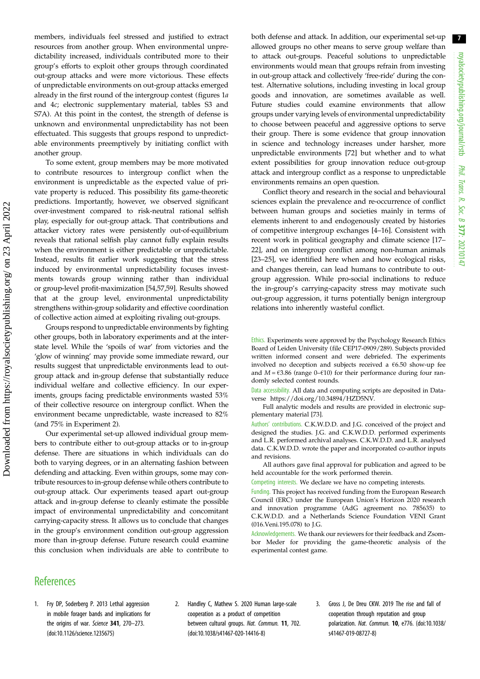<span id="page-6-0"></span>members, individuals feel stressed and justified to extract resources from another group. When environmental unpredictability increased, individuals contributed more to their group's efforts to exploit other groups through coordinated out-group attacks and were more victorious. These effects of unpredictable environments on out-group attacks emerged already in the first round of the intergroup contest (figures [1](#page-2-0)a and [4](#page-5-0)c; electronic supplementary material, tables S3 and S7A). At this point in the contest, the strength of defense is unknown and environmental unpredictability has not been effectuated. This suggests that groups respond to unpredictable environments preemptively by initiating conflict with another group.

To some extent, group members may be more motivated to contribute resources to intergroup conflict when the environment is unpredictable as the expected value of private property is reduced. This possibility fits game-theoretic predictions. Importantly, however, we observed significant over-investment compared to risk-neutral rational selfish play, especially for out-group attack. That contributions and attacker victory rates were persistently out-of-equilibrium reveals that rational selfish play cannot fully explain results when the environment is either predictable or unpredictable. Instead, results fit earlier work suggesting that the stress induced by environmental unpredictability focuses investments towards group winning rather than individual or group-level profit-maximization [[54,57,59](#page-8-0)]. Results showed that at the group level, environmental unpredictability strengthens within-group solidarity and effective coordination of collective action aimed at exploiting rivaling out-groups.

Groups respond to unpredictable environments by fighting other groups, both in laboratory experiments and at the interstate level. While the 'spoils of war' from victories and the 'glow of winning' may provide some immediate reward, our results suggest that unpredictable environments lead to outgroup attack and in-group defense that substantially reduce individual welfare and collective efficiency. In our experiments, groups facing predictable environments wasted 53% of their collective resource on intergroup conflict. When the environment became unpredictable, waste increased to 82% (and 75% in Experiment 2).

Our experimental set-up allowed individual group members to contribute either to out-group attacks or to in-group defense. There are situations in which individuals can do both to varying degrees, or in an alternating fashion between defending and attacking. Even within groups, some may contribute resources to in-group defense while others contribute to out-group attack. Our experiments teased apart out-group attack and in-group defense to cleanly estimate the possible impact of environmental unpredictability and concomitant carrying-capacity stress. It allows us to conclude that changes in the group's environment condition out-group aggression more than in-group defense. Future research could examine this conclusion when individuals are able to contribute to

both defense and attack. In addition, our experimental set-up allowed groups no other means to serve group welfare than to attack out-groups. Peaceful solutions to unpredictable environments would mean that groups refrain from investing in out-group attack and collectively 'free-ride' during the contest. Alternative solutions, including investing in local group goods and innovation, are sometimes available as well. Future studies could examine environments that allow groups under varying levels of environmental unpredictability to choose between peaceful and aggressive options to serve their group. There is some evidence that group innovation in science and technology increases under harsher, more unpredictable environments [\[72](#page-8-0)] but whether and to what extent possibilities for group innovation reduce out-group attack and intergroup conflict as a response to unpredictable environments remains an open question.

Conflict theory and research in the social and behavioural sciences explain the prevalence and re-occurrence of conflict between human groups and societies mainly in terms of elements inherent to and endogenously created by histories of competitive intergroup exchanges [[4](#page-7-0)–[16\]](#page-7-0). Consistent with recent work in political geography and climate science [\[17](#page-7-0)– [22\]](#page-7-0), and on intergroup conflict among non-human animals [[23](#page-7-0)–[25](#page-7-0)], we identified here when and how ecological risks, and changes therein, can lead humans to contribute to outgroup aggression. While pro-social inclinations to reduce the in-group's carrying-capacity stress may motivate such out-group aggression, it turns potentially benign intergroup relations into inherently wasteful conflict.

Ethics. Experiments were approved by the Psychology Research Ethics Board of Leiden University (file CEP17-0909/289). Subjects provided written informed consent and were debriefed. The experiments involved no deception and subjects received a  $66.50$  show-up fee and  $M = 63.86$  (range 0– $610$ ) for their performance during four randomly selected contest rounds.

Data accessibility. All data and computing scripts are deposited in Dataverse [https://doi.org/10.34894/HZD5NV.](https://doi.org/10.34894/HZD5NV)

Full analytic models and results are provided in electronic supplementary material [\[73](#page-8-0)].

Authors' contributions. C.K.W.D.D. and J.G. conceived of the project and designed the studies. J.G. and C.K.W.D.D. performed experiments and L.R. performed archival analyses. C.K.W.D.D. and L.R. analysed data. C.K.W.D.D. wrote the paper and incorporated co-author inputs and revisions.

All authors gave final approval for publication and agreed to be held accountable for the work performed therein.

Competing interests. We declare we have no competing interests.

Funding. This project has received funding from the European Research Council (ERC) under the European Union's Horizon 2020 research and innovation programme (AdG agreement no. 785635) to C.K.W.D.D. and a Netherlands Science Foundation VENI Grant (016.Veni.195.078) to J.G.

Acknowledgements. We thank our reviewers for their feedback and Zsombor Meder for providing the game-theoretic analysis of the experimental contest game.

# **References**

- 1. Fry DP, Soderberg P. 2013 Lethal aggression in mobile forager bands and implications for the origins of war. Science 341, 270-273. [\(doi:10.1126/science.1235675\)](http://dx.doi.org/10.1126/science.1235675)
- 2. Handley C, Mathew S. 2020 Human large-scale cooperation as a product of competition between cultural groups. Nat. Commun. 11, 702. [\(doi:10.1038/s41467-020-14416-8\)](http://dx.doi.org/10.1038/s41467-020-14416-8)
- 3. Gross J, De Dreu CKW. 2019 The rise and fall of cooperation through reputation and group polarization. Nat. Commun. 10, e776. [\(doi:10.1038/](http://dx.doi.org/10.1038/s41467-019-08727-8) [s41467-019-08727-8\)](http://dx.doi.org/10.1038/s41467-019-08727-8)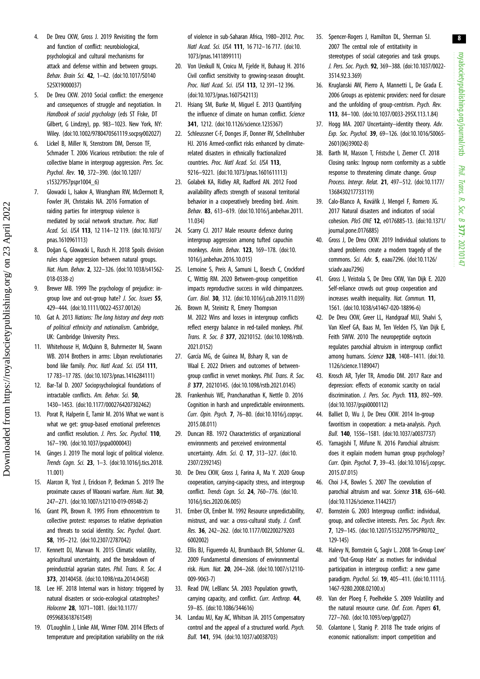8

- <span id="page-7-0"></span>4. De Dreu CKW, Gross J. 2019 Revisiting the form and function of conflict: neurobiological, psychological and cultural mechanisms for attack and defense within and between groups. Behav. Brain Sci. 42, 1–42. ([doi:10.1017/S0140](http://dx.doi.org/10.1017/S0140525X19000037) [525X19000037\)](http://dx.doi.org/10.1017/S0140525X19000037)
- 5. De Dreu CKW. 2010 Social conflict: the emergence and consequences of struggle and negotiation. In Handbook of social psychology (eds ST Fiske, DT Gilbert, G Lindzey), pp. 983–1023. New York, NY: Wiley. ([doi:10.1002/9780470561119.socpsy002027\)](https://doi.org/10.1002/9780470561119.socpsy002027)
- 6. Lickel B, Miller N, Stenstrom DM, Denson TF, Schmader T. 2006 Vicarious retribution: the role of collective blame in intergroup aggression. Pers. Soc. Psychol. Rev. 10, 372–390. [\(doi:10.1207/](https://doi.org/10.1207/s15327957pspr1004_6) [s15327957pspr1004\\_6\)](https://doi.org/10.1207/s15327957pspr1004_6)
- 7. Glowacki L, Isakov A, Wrangham RW, McDermott R, Fowler JH, Christakis NA. 2016 Formation of raiding parties for intergroup violence is mediated by social network structure. Proc. Natl Acad. Sci. USA 113, 12 114–12 119. ([doi:10.1073/](http://dx.doi.org/10.1073/pnas.1610961113) [pnas.1610961113](http://dx.doi.org/10.1073/pnas.1610961113))
- 8. Doğan G, Glowacki L, Rusch H. 2018 Spoils division rules shape aggression between natural groups. Nat. Hum. Behav. 2, 322–326. ([doi:10.1038/s41562-](http://dx.doi.org/10.1038/s41562-018-0338-z) [018-0338-z](http://dx.doi.org/10.1038/s41562-018-0338-z))
- 9. Brewer MB. 1999 The psychology of prejudice: ingroup love and out-group hate? J. Soc. Issues 55, 429–444. ([doi:10.1111/0022-4537.00126](https://doi.org/10.1111/0022-4537.00126))
- 10. Gat A. 2013 Nations: The long history and deep roots of political ethnicity and nationalism. Cambridge, UK: Cambridge University Press.
- 11. Whitehouse H, McQuinn B, Buhrmester M, Swann WB. 2014 Brothers in arms: Libyan revolutionaries bond like family. Proc. Natl Acad. Sci. USA 111, 17 783–17 785. ([doi:10.1073/pnas.1416284111\)](http://dx.doi.org/10.1073/pnas.1416284111)
- 12. Bar-Tal D. 2007 Sociopsychological foundations of intractable conflicts. Am. Behav. Sci. 50. 1430–1453. [\(doi:10.1177/0002764207302462](http://dx.doi.org/10.1177/0002764207302462))
- 13. Porat R, Halperin E, Tamir M. 2016 What we want is what we get: group-based emotional preferences and conflict resolution. J. Pers. Soc. Psychol. 110, 167–190. ([doi:10.1037/pspa0000043\)](http://dx.doi.org/10.1037/pspa0000043)
- 14. Ginges J. 2019 The moral logic of political violence. Trends Cogn. Sci. 23, 1–3. [\(doi:10.1016/j.tics.2018.](http://dx.doi.org/10.1016/j.tics.2018.11.001) [11.001\)](http://dx.doi.org/10.1016/j.tics.2018.11.001)
- 15. Alarcon R, Yost J, Erickson P, Beckman S. 2019 The proximate causes of Waorani warfare. Hum. Nat. 30, 247–271. ([doi:10.1007/s12110-019-09348-2](http://dx.doi.org/10.1007/s12110-019-09348-2))
- 16. Grant PR, Brown R. 1995 From ethnocentrism to collective protest: responses to relative deprivation and threats to social identity. Soc. Psychol. Quart. 58, 195–212. ([doi:10.2307/2787042](http://dx.doi.org/10.2307/2787042))
- 17. Kennett DJ, Marwan N. 2015 Climatic volatility, agricultural uncertainty, and the breakdown of preindustrial agrarian states. Phil. Trans. R. Soc. A 373, 20140458. ([doi:10.1098/rsta.2014.0458\)](http://dx.doi.org/10.1098/rsta.2014.0458)
- 18. Lee HF. 2018 Internal wars in history: triggered by natural disasters or socio-ecological catastrophes? Holocene 28, 1071–1081. ([doi:10.1177/](http://dx.doi.org/10.1177/0959683618761549) [0959683618761549](http://dx.doi.org/10.1177/0959683618761549))
- 19. O'Loughlin J, Linke AM, Wimer FDM. 2014 Effects of temperature and precipitation variability on the risk

of violence in sub-Saharan Africa, 1980–2012. Proc. Natl Acad. Sci. USA 111, 16 712–16 717. ([doi:10.](http://dx.doi.org/10.1073/pnas.1411899111) [1073/pnas.1411899111](http://dx.doi.org/10.1073/pnas.1411899111))

- 20. Von Uexkull N, Croicu M, Fjelde H, Buhaug H. 2016 Civil conflict sensitivity to growing-season drought. Proc. Natl Acad. Sci. USA 113, 12 391-12 396. [\(doi:10.1073/pnas.1607542113\)](http://dx.doi.org/10.1073/pnas.1607542113)
- 21. Hsiang SM, Burke M, Miguel E. 2013 Quantifying the influence of climate on human conflict. Science 341, 1212. [\(doi:10.1126/science.1235367](http://dx.doi.org/10.1126/science.1235367))
- 22. Schleussner C-F, Donges JF, Donner RV, Schellnhuber HJ. 2016 Armed-conflict risks enhanced by climaterelated disasters in ethnically fractionalized countries. Proc. Natl Acad. Sci. USA 113, 9216–9221. [\(doi:10.1073/pnas.1601611113](http://dx.doi.org/10.1073/pnas.1601611113))
- 23. Golabek KA, Ridley AR, Radford AN. 2012 Food availability affects strength of seasonal territorial behavior in a cooperatively breeding bird. Anim. Behav. 83, 613–619. ([doi:10.1016/j.anbehav.2011.](http://dx.doi.org/10.1016/j.anbehav.2011.11.034) [11.034](http://dx.doi.org/10.1016/j.anbehav.2011.11.034))
- 24. Scarry CJ. 2017 Male resource defence during intergroup aggression among tufted capuchin monkeys. Anim. Behav. 123, 169–178. ([doi:10.](http://dx.doi.org/10.1016/j.anbehav.2016.10.015) [1016/j.anbehav.2016.10.015\)](http://dx.doi.org/10.1016/j.anbehav.2016.10.015)
- 25. Lemoine S, Preis A, Samuni L, Boesch C, Crockford C, Wittig RM. 2020 Between-group competition impacts reproductive success in wild chimpanzees. Curr. Biol. 30, 312. ([doi:10.1016/j.cub.2019.11.039\)](http://dx.doi.org/10.1016/j.cub.2019.11.039)
- 26. Brown M, Steinitz R, Emery Thompson M. 2022 Wins and losses in intergroup conflicts reflect energy balance in red-tailed monkeys. Phil. Trans. R. Soc. B 377, 20210152. [\(doi:10.1098/rstb.](http://dx.doi.org/10.1098/rstb.2021.0152) [2021.0152\)](http://dx.doi.org/10.1098/rstb.2021.0152)
- 27. García MG, de Guinea M, Bshary R, van de Waal E. 2022 Drivers and outcomes of betweengroup conflict in vervet monkeys. Phil. Trans. R. Soc. B 377, 20210145. [\(doi:10.1098/rstb.2021.0145\)](http://dx.doi.org/10.1098/rstb.2021.0145)
- 28. Frankenhuis WE, Pranchanathan K, Nettle D. 2016 Cognition in harsh and unpredictable environments. Curr. Opin. Psych. 7, 76–80. ([doi:10.1016/j.copsyc.](http://dx.doi.org/10.1016/j.copsyc.2015.08.011) [2015.08.011\)](http://dx.doi.org/10.1016/j.copsyc.2015.08.011)
- 29. Duncan RB. 1972 Characteristics of organizational environments and perceived environmental uncertainty. Adm. Sci. Q. 17, 313–327. ([doi:10.](http://dx.doi.org/10.2307/2392145) [2307/2392145](http://dx.doi.org/10.2307/2392145))
- 30. De Dreu CKW, Gross J, Farina A, Ma Y. 2020 Group cooperation, carrying-capacity stress, and intergroup conflict. Trends Coan. Sci. 24, 760-776. ([doi:10.](http://dx.doi.org/10.1016/j.tics.2020.06.005) [1016/j.tics.2020.06.005\)](http://dx.doi.org/10.1016/j.tics.2020.06.005)
- 31. Ember CR, Ember M. 1992 Resource unpredictability, mistrust, and war: a cross-cultural study. J. Confl. Res. 36, 242–262. [\(doi:10.1177/002200279203](https://doi.org/10.1177/0022002792036002002) [6002002\)](https://doi.org/10.1177/0022002792036002002)
- 32. Ellis BJ, Figueredo AJ, Brumbauch BH, Schlomer GL. 2009 Fundamental dimensions of environmental risk. Hum. Nat. 20, 204–268. ([doi:10.1007/s12110-](http://dx.doi.org/10.1007/s12110-009-9063-7) [009-9063-7\)](http://dx.doi.org/10.1007/s12110-009-9063-7)
- 33. Read DW, LeBlanc SA. 2003 Population growth, carrying capacity, and conflict. Curr. Anthrop. 44, 59–85. ([doi:10.1086/344616\)](http://dx.doi.org/10.1086/344616)
- 34. Landau MJ, Kay AC, Whitson JA. 2015 Compensatory control and the appeal of a structured world. Psych. Bull. 141, 594. ([doi:10.1037/a0038703](http://dx.doi.org/10.1037/a0038703))
- 35. Spencer-Rogers J, Hamilton DL, Sherman SJ. 2007 The central role of entitativity in stereotypes of social categories and task groups. J. Pers. Soc. Psych. 92, 369–388. [\(doi:10.1037/0022-](http://dx.doi.org/10.1037/0022-3514.92.3.369) [3514.92.3.369\)](http://dx.doi.org/10.1037/0022-3514.92.3.369)
- 36. Kruglanski AW, Pierro A, Mannetti L, De Grada E. 2006 Groups as epistemic providers: need for closure and the unfolding of group-centrism. Psych. Rev. 113, 84–100. ([doi:10.1037/0033-295X.113.1.84](http://dx.doi.org/10.1037/0033-295X.113.1.84))
- 37. Hogg MA. 2007 Uncertainty–identity theory. Adv. Exp. Soc. Psychol. 39, 69–126. [\(doi:10.1016/S0065-](https://doi.org/10.1016/S0065-2601(06)39002-8) [2601\(06\)39002-8](https://doi.org/10.1016/S0065-2601(06)39002-8))
- 38. Barth M, Masson T, Fristsche I, Ziemer CT. 2018 Closing ranks: Ingroup norm conformity as a subtle response to threatening climate change. Group Process. Intergr. Relat. 21, 497–512. [\(doi:10.1177/](http://dx.doi.org/10.1177/1368430217733119) [1368430217733119\)](http://dx.doi.org/10.1177/1368430217733119)
- 39. Calo-Blanco A, Kovářík J, Mengel F, Romero JG. 2017 Natural disasters and indicators of social cohesion. PloS ONE 12, e0176885-13. [\(doi:10.1371/](http://dx.doi.org/10.1371/journal.pone.0176885) [journal.pone.0176885\)](http://dx.doi.org/10.1371/journal.pone.0176885)
- 40. Gross J, De Dreu CKW. 2019 Individual solutions to shared problems create a modern tragedy of the commons. Sci. Adv. 5, eaau7296. [\(doi:10.1126/](http://dx.doi.org/10.1126/sciadv.aau7296) [sciadv.aau7296](http://dx.doi.org/10.1126/sciadv.aau7296))
- 41. Gross J, Veistola S, De Dreu CKW, Van Dijk E. 2020 Self-reliance crowds out group cooperation and increases wealth inequality. Nat. Commun. 11. 1561. [\(doi:10.1038/s41467-020-18896-6\)](https://doi.org/10.1038/s41467-020-18896-6)
- 42. De Dreu CKW, Greer LL, Handgraaf MJJ, Shalvi S, Van Kleef GA, Baas M, Ten Velden FS, Van Dijk E, Feith SWW. 2010 The neuropeptide oxytocin regulates parochial altruism in intergroup conflict among humans. Science 328, 1408–1411. ([doi:10.](http://dx.doi.org/10.1126/science.1189047) [1126/science.1189047](http://dx.doi.org/10.1126/science.1189047))
- 43. Krosch AR, Tyler TR, Amodio DM. 2017 Race and depression: effects of economic scarcity on racial discrimination. J. Pers. Soc. Psych. 113, 892-909. ([doi:10.1037/pspi0000112](http://dx.doi.org/10.1037/pspi0000112))
- 44. Balliet D, Wu J, De Dreu CKW. 2014 In-group favoritism in cooperation: a meta-analysis. Psych. Bull. 140, 1556–1581. [\(doi:10.1037/a0037737](http://dx.doi.org/10.1037/a0037737))
- 45. Yamagishi T, Mifune N. 2016 Parochial altruism: does it explain modern human group psychology? Curr. Opin. Psychol. 7, 39–43. ([doi:10.1016/j.copsyc.](http://dx.doi.org/10.1016/j.copsyc.2015.07.015) [2015.07.015](http://dx.doi.org/10.1016/j.copsyc.2015.07.015))
- 46. Choi J-K, Bowles S. 2007 The coevolution of parochial altruism and war. Science 318, 636–640. ([doi:10.1126/science.1144237](http://dx.doi.org/10.1126/science.1144237))
- 47. Bornstein G. 2003 Intergroup conflict: individual, group, and collective interests. Pers. Soc. Psych. Rev. 7, 129–145. ([doi:10.1207/S15327957PSPR0702\\_](http://dx.doi.org/10.1207/S15327957PSPR0702_129-145) [129-145](http://dx.doi.org/10.1207/S15327957PSPR0702_129-145))
- 48. Halevy N, Bornstein G, Sagiv L. 2008 'In-Group Love' and 'Out-Group Hate' as motives for individual participation in intergroup conflict: a new game paradigm. Psychol. Sci. 19, 405–411. ([doi:10.1111/j.](http://dx.doi.org/10.1111/j.1467-9280.2008.02100.x) [1467-9280.2008.02100.x\)](http://dx.doi.org/10.1111/j.1467-9280.2008.02100.x)
- 49. Van der Ploeg F, Poelhekke S. 2009 Volatility and the natural resource curse. Oxf. Econ. Papers 61, 727–760. [\(doi:10.1093/oep/gpp027](https://doi.org/10.1093/oep/gpp027))
- 50. Colantone I, Stanig P. 2018 The trade origins of economic nationalism: import competition and